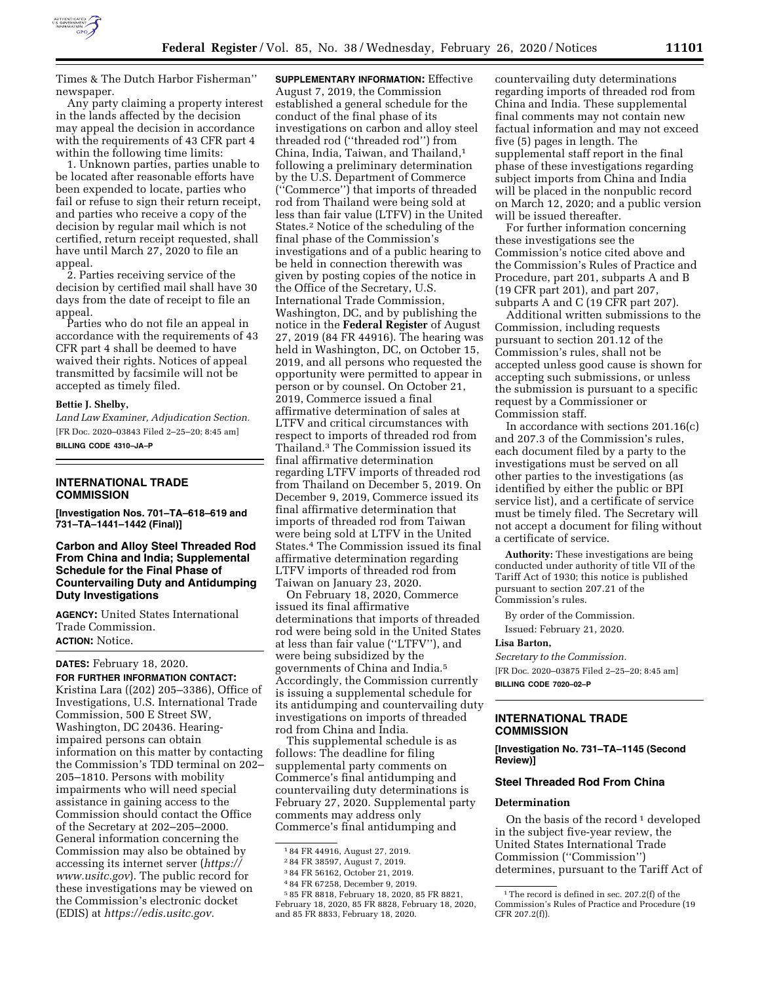

Times & The Dutch Harbor Fisherman''

newspaper. Any party claiming a property interest in the lands affected by the decision may appeal the decision in accordance with the requirements of 43 CFR part 4 within the following time limits:

1. Unknown parties, parties unable to be located after reasonable efforts have been expended to locate, parties who fail or refuse to sign their return receipt, and parties who receive a copy of the decision by regular mail which is not certified, return receipt requested, shall have until March 27, 2020 to file an appeal.

2. Parties receiving service of the decision by certified mail shall have 30 days from the date of receipt to file an appeal.

Parties who do not file an appeal in accordance with the requirements of 43 CFR part 4 shall be deemed to have waived their rights. Notices of appeal transmitted by facsimile will not be accepted as timely filed.

### **Bettie J. Shelby,**

*Land Law Examiner, Adjudication Section.*  [FR Doc. 2020–03843 Filed 2–25–20; 8:45 am] **BILLING CODE 4310–JA–P** 

## **INTERNATIONAL TRADE COMMISSION**

**[Investigation Nos. 701–TA–618–619 and 731–TA–1441–1442 (Final)]** 

**Carbon and Alloy Steel Threaded Rod From China and India; Supplemental Schedule for the Final Phase of Countervailing Duty and Antidumping Duty Investigations** 

**AGENCY:** United States International Trade Commission. **ACTION:** Notice.

#### **DATES:** February 18, 2020.

**FOR FURTHER INFORMATION CONTACT:**  Kristina Lara ((202) 205–3386), Office of Investigations, U.S. International Trade Commission, 500 E Street SW, Washington, DC 20436. Hearingimpaired persons can obtain information on this matter by contacting the Commission's TDD terminal on 202– 205–1810. Persons with mobility impairments who will need special assistance in gaining access to the Commission should contact the Office of the Secretary at 202–205–2000. General information concerning the Commission may also be obtained by accessing its internet server (*[https://](https://www.usitc.gov) [www.usitc.gov](https://www.usitc.gov)*). The public record for these investigations may be viewed on the Commission's electronic docket (EDIS) at *[https://edis.usitc.gov.](https://edis.usitc.gov)* 

**SUPPLEMENTARY INFORMATION:** Effective August 7, 2019, the Commission established a general schedule for the conduct of the final phase of its investigations on carbon and alloy steel threaded rod (''threaded rod'') from China, India, Taiwan, and Thailand,1 following a preliminary determination by the U.S. Department of Commerce (''Commerce'') that imports of threaded rod from Thailand were being sold at less than fair value (LTFV) in the United States.2 Notice of the scheduling of the final phase of the Commission's investigations and of a public hearing to be held in connection therewith was given by posting copies of the notice in the Office of the Secretary, U.S. International Trade Commission, Washington, DC, and by publishing the notice in the **Federal Register** of August 27, 2019 (84 FR 44916). The hearing was held in Washington, DC, on October 15, 2019, and all persons who requested the opportunity were permitted to appear in person or by counsel. On October 21, 2019, Commerce issued a final affirmative determination of sales at LTFV and critical circumstances with respect to imports of threaded rod from Thailand.3 The Commission issued its final affirmative determination regarding LTFV imports of threaded rod from Thailand on December 5, 2019. On December 9, 2019, Commerce issued its final affirmative determination that imports of threaded rod from Taiwan were being sold at LTFV in the United States.4 The Commission issued its final affirmative determination regarding LTFV imports of threaded rod from Taiwan on January 23, 2020.

On February 18, 2020, Commerce issued its final affirmative determinations that imports of threaded rod were being sold in the United States at less than fair value (''LTFV''), and were being subsidized by the governments of China and India.5 Accordingly, the Commission currently is issuing a supplemental schedule for its antidumping and countervailing duty investigations on imports of threaded rod from China and India.

This supplemental schedule is as follows: The deadline for filing supplemental party comments on Commerce's final antidumping and countervailing duty determinations is February 27, 2020. Supplemental party comments may address only Commerce's final antidumping and

4 84 FR 67258, December 9, 2019.

countervailing duty determinations regarding imports of threaded rod from China and India. These supplemental final comments may not contain new factual information and may not exceed five (5) pages in length. The supplemental staff report in the final phase of these investigations regarding subject imports from China and India will be placed in the nonpublic record on March 12, 2020; and a public version will be issued thereafter.

For further information concerning these investigations see the Commission's notice cited above and the Commission's Rules of Practice and Procedure, part 201, subparts A and B (19 CFR part 201), and part 207, subparts A and C (19 CFR part 207).

Additional written submissions to the Commission, including requests pursuant to section 201.12 of the Commission's rules, shall not be accepted unless good cause is shown for accepting such submissions, or unless the submission is pursuant to a specific request by a Commissioner or Commission staff.

In accordance with sections 201.16(c) and 207.3 of the Commission's rules, each document filed by a party to the investigations must be served on all other parties to the investigations (as identified by either the public or BPI service list), and a certificate of service must be timely filed. The Secretary will not accept a document for filing without a certificate of service.

**Authority:** These investigations are being conducted under authority of title VII of the Tariff Act of 1930; this notice is published pursuant to section 207.21 of the Commission's rules.

By order of the Commission. Issued: February 21, 2020.

#### **Lisa Barton,**

*Secretary to the Commission.*  [FR Doc. 2020–03875 Filed 2–25–20; 8:45 am] **BILLING CODE 7020–02–P** 

# **INTERNATIONAL TRADE COMMISSION**

**[Investigation No. 731–TA–1145 (Second Review)]** 

#### **Steel Threaded Rod From China**

#### **Determination**

On the basis of the record<sup>1</sup> developed in the subject five-year review, the United States International Trade Commission (''Commission'') determines, pursuant to the Tariff Act of

<sup>1</sup> 84 FR 44916, August 27, 2019.

<sup>2</sup> 84 FR 38597, August 7, 2019.

<sup>3</sup> 84 FR 56162, October 21, 2019.

<sup>5</sup> 85 FR 8818, February 18, 2020, 85 FR 8821, February 18, 2020, 85 FR 8828, February 18, 2020, and 85 FR 8833, February 18, 2020.

 $^{\rm 1}\!$  The record is defined in sec. 207.2(f) of the Commission's Rules of Practice and Procedure (19 CFR 207.2(f)).